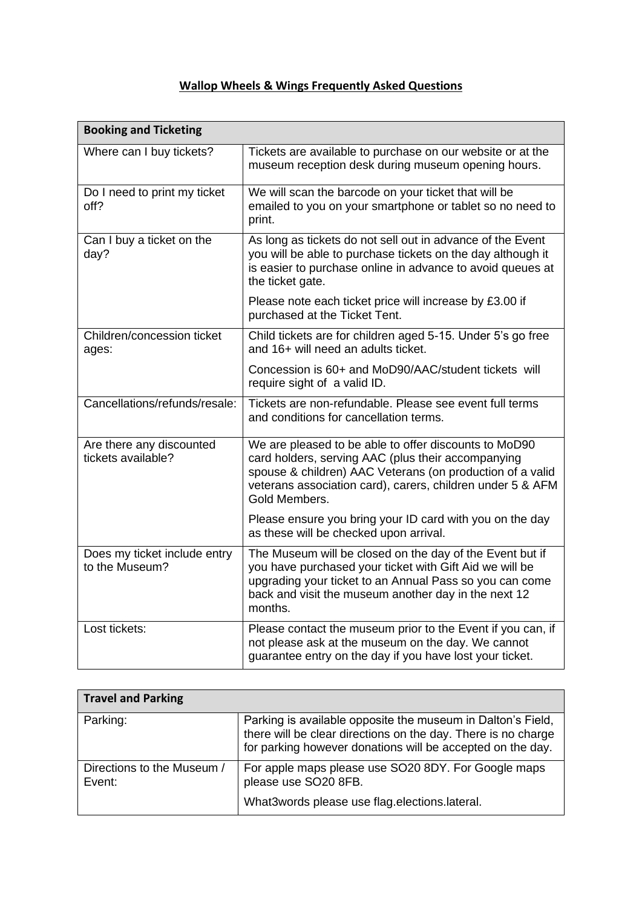## **Wallop Wheels & Wings Frequently Asked Questions**

| <b>Booking and Ticketing</b>                   |                                                                                                                                                                                                                                                         |
|------------------------------------------------|---------------------------------------------------------------------------------------------------------------------------------------------------------------------------------------------------------------------------------------------------------|
| Where can I buy tickets?                       | Tickets are available to purchase on our website or at the<br>museum reception desk during museum opening hours.                                                                                                                                        |
| Do I need to print my ticket<br>off?           | We will scan the barcode on your ticket that will be<br>emailed to you on your smartphone or tablet so no need to<br>print.                                                                                                                             |
| Can I buy a ticket on the<br>day?              | As long as tickets do not sell out in advance of the Event<br>you will be able to purchase tickets on the day although it<br>is easier to purchase online in advance to avoid queues at<br>the ticket gate.                                             |
|                                                | Please note each ticket price will increase by £3.00 if<br>purchased at the Ticket Tent.                                                                                                                                                                |
| Children/concession ticket<br>ages:            | Child tickets are for children aged 5-15. Under 5's go free<br>and 16+ will need an adults ticket.                                                                                                                                                      |
|                                                | Concession is 60+ and MoD90/AAC/student tickets will<br>require sight of a valid ID.                                                                                                                                                                    |
| Cancellations/refunds/resale:                  | Tickets are non-refundable. Please see event full terms<br>and conditions for cancellation terms.                                                                                                                                                       |
| Are there any discounted<br>tickets available? | We are pleased to be able to offer discounts to MoD90<br>card holders, serving AAC (plus their accompanying<br>spouse & children) AAC Veterans (on production of a valid<br>veterans association card), carers, children under 5 & AFM<br>Gold Members. |
|                                                | Please ensure you bring your ID card with you on the day<br>as these will be checked upon arrival.                                                                                                                                                      |
| Does my ticket include entry<br>to the Museum? | The Museum will be closed on the day of the Event but if<br>you have purchased your ticket with Gift Aid we will be<br>upgrading your ticket to an Annual Pass so you can come<br>back and visit the museum another day in the next 12<br>months.       |
| Lost tickets:                                  | Please contact the museum prior to the Event if you can, if<br>not please ask at the museum on the day. We cannot<br>guarantee entry on the day if you have lost your ticket.                                                                           |

| <b>Travel and Parking</b>            |                                                                                                                                                                                            |
|--------------------------------------|--------------------------------------------------------------------------------------------------------------------------------------------------------------------------------------------|
| Parking:                             | Parking is available opposite the museum in Dalton's Field,<br>there will be clear directions on the day. There is no charge<br>for parking however donations will be accepted on the day. |
| Directions to the Museum /<br>Event: | For apple maps please use SO20 8DY. For Google maps<br>please use SO20 8FB.                                                                                                                |
|                                      | What3words please use flag.elections.lateral.                                                                                                                                              |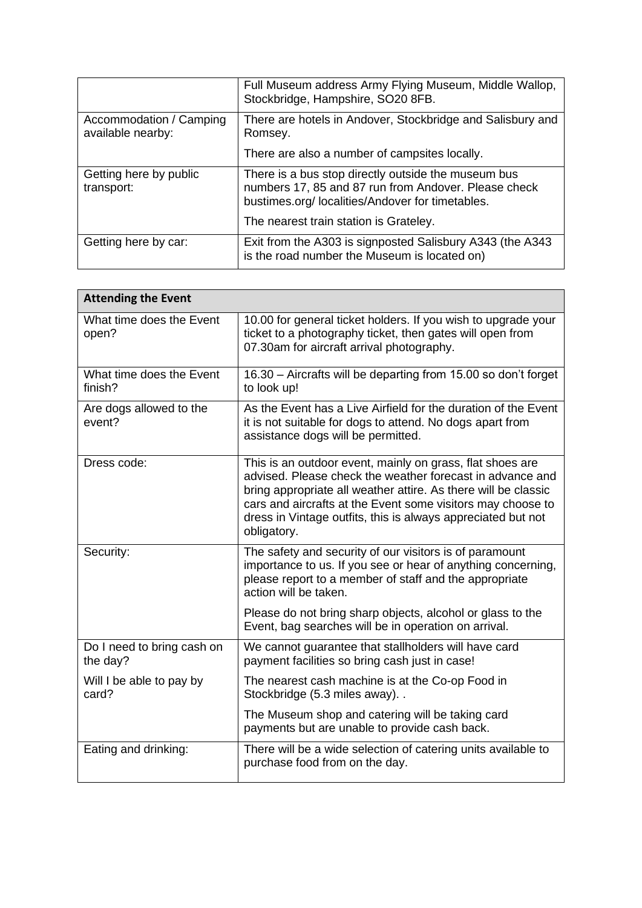|                                              | Full Museum address Army Flying Museum, Middle Wallop,<br>Stockbridge, Hampshire, SO20 8FB.                                                                    |
|----------------------------------------------|----------------------------------------------------------------------------------------------------------------------------------------------------------------|
| Accommodation / Camping<br>available nearby: | There are hotels in Andover, Stockbridge and Salisbury and<br>Romsey.                                                                                          |
|                                              | There are also a number of campsites locally.                                                                                                                  |
| Getting here by public<br>transport:         | There is a bus stop directly outside the museum bus<br>numbers 17, 85 and 87 run from Andover. Please check<br>bustimes.org/localities/Andover for timetables. |
|                                              | The nearest train station is Grateley.                                                                                                                         |
| Getting here by car:                         | Exit from the A303 is signposted Salisbury A343 (the A343<br>is the road number the Museum is located on)                                                      |

| <b>Attending the Event</b>             |                                                                                                                                                                                                                                                                                                                                        |  |
|----------------------------------------|----------------------------------------------------------------------------------------------------------------------------------------------------------------------------------------------------------------------------------------------------------------------------------------------------------------------------------------|--|
| What time does the Event<br>open?      | 10.00 for general ticket holders. If you wish to upgrade your<br>ticket to a photography ticket, then gates will open from<br>07.30am for aircraft arrival photography.                                                                                                                                                                |  |
| What time does the Event<br>finish?    | 16.30 - Aircrafts will be departing from 15.00 so don't forget<br>to look up!                                                                                                                                                                                                                                                          |  |
| Are dogs allowed to the<br>event?      | As the Event has a Live Airfield for the duration of the Event<br>it is not suitable for dogs to attend. No dogs apart from<br>assistance dogs will be permitted.                                                                                                                                                                      |  |
| Dress code:                            | This is an outdoor event, mainly on grass, flat shoes are<br>advised. Please check the weather forecast in advance and<br>bring appropriate all weather attire. As there will be classic<br>cars and aircrafts at the Event some visitors may choose to<br>dress in Vintage outfits, this is always appreciated but not<br>obligatory. |  |
| Security:                              | The safety and security of our visitors is of paramount<br>importance to us. If you see or hear of anything concerning,<br>please report to a member of staff and the appropriate<br>action will be taken.                                                                                                                             |  |
|                                        | Please do not bring sharp objects, alcohol or glass to the<br>Event, bag searches will be in operation on arrival.                                                                                                                                                                                                                     |  |
| Do I need to bring cash on<br>the day? | We cannot guarantee that stallholders will have card<br>payment facilities so bring cash just in case!                                                                                                                                                                                                                                 |  |
| Will I be able to pay by<br>card?      | The nearest cash machine is at the Co-op Food in<br>Stockbridge (5.3 miles away)                                                                                                                                                                                                                                                       |  |
|                                        | The Museum shop and catering will be taking card<br>payments but are unable to provide cash back.                                                                                                                                                                                                                                      |  |
| Eating and drinking:                   | There will be a wide selection of catering units available to<br>purchase food from on the day.                                                                                                                                                                                                                                        |  |